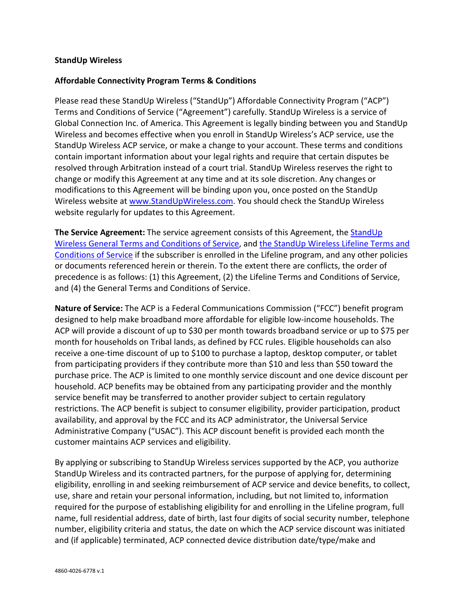## **StandUp Wireless**

## **Affordable Connectivity Program Terms & Conditions**

Please read these StandUp Wireless ("StandUp") Affordable Connectivity Program ("ACP") Terms and Conditions of Service ("Agreement") carefully. StandUp Wireless is a service of Global Connection Inc. of America. This Agreement is legally binding between you and StandUp Wireless and becomes effective when you enroll in StandUp Wireless's ACP service, use the StandUp Wireless ACP service, or make a change to your account. These terms and conditions contain important information about your legal rights and require that certain disputes be resolved through Arbitration instead of a court trial. StandUp Wireless reserves the right to change or modify this Agreement at any time and at its sole discretion. Any changes or modifications to this Agreement will be binding upon you, once posted on the StandUp Wireless website at [www.StandUpWireless.com.](http://www.standupwireless.com/) You should check the StandUp Wireless website regularly for updates to this Agreement.

**The Service Agreement:** The service agreement consists of this Agreement, the [StandUp](https://standupwireless.com/wp-content/uploads/StandUp-Wireless-Terms-Conditions-General-2020-12-01.pdf)  [Wireless General Terms and Conditions of Service,](https://standupwireless.com/wp-content/uploads/StandUp-Wireless-Terms-Conditions-General-2020-12-01.pdf) and [the StandUp Wireless Lifeline Terms and](https://standupwireless.com/wp-content/uploads/StandUp-Wireless-Terms-Conditions-Lifeline-2020-12-01.pdf)  [Conditions of Service](https://standupwireless.com/wp-content/uploads/StandUp-Wireless-Terms-Conditions-Lifeline-2020-12-01.pdf) if the subscriber is enrolled in the Lifeline program, and any other policies or documents referenced herein or therein. To the extent there are conflicts, the order of precedence is as follows: (1) this Agreement, (2) the Lifeline Terms and Conditions of Service, and (4) the General Terms and Conditions of Service.

**Nature of Service:** The ACP is a Federal Communications Commission ("FCC") benefit program designed to help make broadband more affordable for eligible low-income households. The ACP will provide a discount of up to \$30 per month towards broadband service or up to \$75 per month for households on Tribal lands, as defined by FCC rules. Eligible households can also receive a one-time discount of up to \$100 to purchase a laptop, desktop computer, or tablet from participating providers if they contribute more than \$10 and less than \$50 toward the purchase price. The ACP is limited to one monthly service discount and one device discount per household. ACP benefits may be obtained from any participating provider and the monthly service benefit may be transferred to another provider subject to certain regulatory restrictions. The ACP benefit is subject to consumer eligibility, provider participation, product availability, and approval by the FCC and its ACP administrator, the Universal Service Administrative Company ("USAC"). This ACP discount benefit is provided each month the customer maintains ACP services and eligibility.

By applying or subscribing to StandUp Wireless services supported by the ACP, you authorize StandUp Wireless and its contracted partners, for the purpose of applying for, determining eligibility, enrolling in and seeking reimbursement of ACP service and device benefits, to collect, use, share and retain your personal information, including, but not limited to, information required for the purpose of establishing eligibility for and enrolling in the Lifeline program, full name, full residential address, date of birth, last four digits of social security number, telephone number, eligibility criteria and status, the date on which the ACP service discount was initiated and (if applicable) terminated, ACP connected device distribution date/type/make and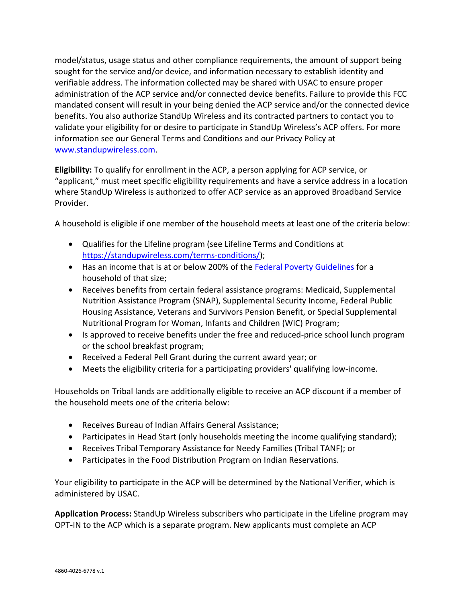model/status, usage status and other compliance requirements, the amount of support being sought for the service and/or device, and information necessary to establish identity and verifiable address. The information collected may be shared with USAC to ensure proper administration of the ACP service and/or connected device benefits. Failure to provide this FCC mandated consent will result in your being denied the ACP service and/or the connected device benefits. You also authorize StandUp Wireless and its contracted partners to contact you to validate your eligibility for or desire to participate in StandUp Wireless's ACP offers. For more information see our General Terms and Conditions and our Privacy Policy at [www.standupwireless.com.](http://www.standupwireless.com/)

**Eligibility:** To qualify for enrollment in the ACP, a person applying for ACP service, or "applicant," must meet specific eligibility requirements and have a service address in a location where StandUp Wireless is authorized to offer ACP service as an approved Broadband Service Provider.

A household is eligible if one member of the household meets at least one of the criteria below:

- Qualifies for the Lifeline program (see Lifeline Terms and Conditions at [https://standupwireless.com/terms-conditions/\)](https://standupwireless.com/terms-conditions/);
- Has an income that is at or below 200% of th[e Federal Poverty Guidelines](https://aspe.hhs.gov/poverty-guidelines) for a household of that size;
- Receives benefits from certain federal assistance programs: Medicaid, Supplemental Nutrition Assistance Program (SNAP), Supplemental Security Income, Federal Public Housing Assistance, Veterans and Survivors Pension Benefit, or Special Supplemental Nutritional Program for Woman, Infants and Children (WIC) Program;
- Is approved to receive benefits under the free and reduced-price school lunch program or the school breakfast program;
- Received a Federal Pell Grant during the current award year; or
- Meets the eligibility criteria for a participating providers' qualifying low-income.

Households on Tribal lands are additionally eligible to receive an ACP discount if a member of the household meets one of the criteria below:

- Receives Bureau of Indian Affairs General Assistance;
- Participates in Head Start (only households meeting the income qualifying standard);
- Receives Tribal Temporary Assistance for Needy Families (Tribal TANF); or
- Participates in the Food Distribution Program on Indian Reservations.

Your eligibility to participate in the ACP will be determined by the National Verifier, which is administered by USAC.

**Application Process:** StandUp Wireless subscribers who participate in the Lifeline program may OPT-IN to the ACP which is a separate program. New applicants must complete an ACP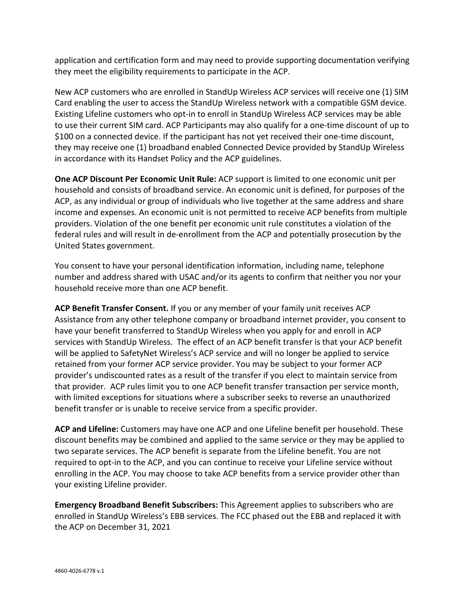application and certification form and may need to provide supporting documentation verifying they meet the eligibility requirements to participate in the ACP.

New ACP customers who are enrolled in StandUp Wireless ACP services will receive one (1) SIM Card enabling the user to access the StandUp Wireless network with a compatible GSM device. Existing Lifeline customers who opt-in to enroll in StandUp Wireless ACP services may be able to use their current SIM card. ACP Participants may also qualify for a one-time discount of up to \$100 on a connected device. If the participant has not yet received their one-time discount, they may receive one (1) broadband enabled Connected Device provided by StandUp Wireless in accordance with its Handset Policy and the ACP guidelines.

**One ACP Discount Per Economic Unit Rule:** ACP support is limited to one economic unit per household and consists of broadband service. An economic unit is defined, for purposes of the ACP, as any individual or group of individuals who live together at the same address and share income and expenses. An economic unit is not permitted to receive ACP benefits from multiple providers. Violation of the one benefit per economic unit rule constitutes a violation of the federal rules and will result in de-enrollment from the ACP and potentially prosecution by the United States government.

You consent to have your personal identification information, including name, telephone number and address shared with USAC and/or its agents to confirm that neither you nor your household receive more than one ACP benefit.

**ACP Benefit Transfer Consent.** If you or any member of your family unit receives ACP Assistance from any other telephone company or broadband internet provider, you consent to have your benefit transferred to StandUp Wireless when you apply for and enroll in ACP services with StandUp Wireless. The effect of an ACP benefit transfer is that your ACP benefit will be applied to SafetyNet Wireless's ACP service and will no longer be applied to service retained from your former ACP service provider. You may be subject to your former ACP provider's undiscounted rates as a result of the transfer if you elect to maintain service from that provider. ACP rules limit you to one ACP benefit transfer transaction per service month, with limited exceptions for situations where a subscriber seeks to reverse an unauthorized benefit transfer or is unable to receive service from a specific provider.

**ACP and Lifeline:** Customers may have one ACP and one Lifeline benefit per household. These discount benefits may be combined and applied to the same service or they may be applied to two separate services. The ACP benefit is separate from the Lifeline benefit. You are not required to opt-in to the ACP, and you can continue to receive your Lifeline service without enrolling in the ACP. You may choose to take ACP benefits from a service provider other than your existing Lifeline provider.

**Emergency Broadband Benefit Subscribers:** This Agreement applies to subscribers who are enrolled in StandUp Wireless's EBB services. The FCC phased out the EBB and replaced it with the ACP on December 31, 2021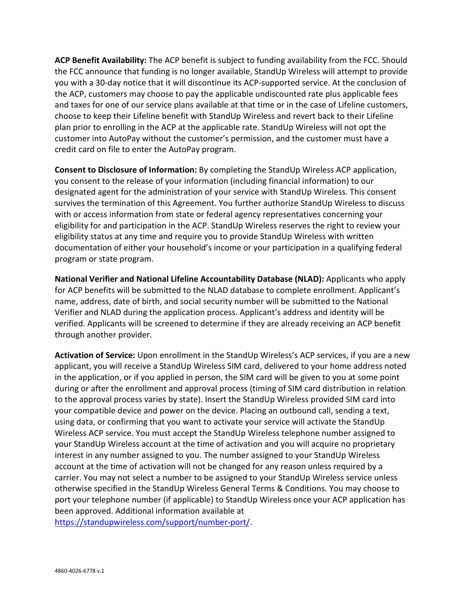**ACP Benefit Availability:** The ACP benefit is subject to funding availability from the FCC. Should the FCC announce that funding is no longer available, StandUp Wireless will attempt to provide you with a 30-day notice that it will discontinue its ACP-supported service. At the conclusion of the ACP, customers may choose to pay the applicable undiscounted rate plus applicable fees and taxes for one of our service plans available at that time or in the case of Lifeline customers, choose to keep their Lifeline benefit with StandUp Wireless and revert back to their Lifeline plan prior to enrolling in the ACP at the applicable rate. StandUp Wireless will not opt the customer into AutoPay without the customer's permission, and the customer must have a credit card on file to enter the AutoPay program.

**Consent to Disclosure of Information:** By completing the StandUp Wireless ACP application, you consent to the release of your information (including financial information) to our designated agent for the administration of your service with StandUp Wireless. This consent survives the termination of this Agreement. You further authorize StandUp Wireless to discuss with or access information from state or federal agency representatives concerning your eligibility for and participation in the ACP. StandUp Wireless reserves the right to review your eligibility status at any time and require you to provide StandUp Wireless with written documentation of either your household's income or your participation in a qualifying federal program or state program.

**National Verifier and National Lifeline Accountability Database (NLAD):** Applicants who apply for ACP benefits will be submitted to the NLAD database to complete enrollment. Applicant's name, address, date of birth, and social security number will be submitted to the National Verifier and NLAD during the application process. Applicant's address and identity will be verified. Applicants will be screened to determine if they are already receiving an ACP benefit through another provider.

**Activation of Service:** Upon enrollment in the StandUp Wireless's ACP services, if you are a new applicant, you will receive a StandUp Wireless SIM card, delivered to your home address noted in the application, or if you applied in person, the SIM card will be given to you at some point during or after the enrollment and approval process (timing of SIM card distribution in relation to the approval process varies by state). Insert the StandUp Wireless provided SIM card into your compatible device and power on the device. Placing an outbound call, sending a text, using data, or confirming that you want to activate your service will activate the StandUp Wireless ACP service. You must accept the StandUp Wireless telephone number assigned to your StandUp Wireless account at the time of activation and you will acquire no proprietary interest in any number assigned to you. The number assigned to your StandUp Wireless account at the time of activation will not be changed for any reason unless required by a carrier. You may not select a number to be assigned to your StandUp Wireless service unless otherwise specified in the StandUp Wireless General Terms & Conditions. You may choose to port your telephone number (if applicable) to StandUp Wireless once your ACP application has been approved. Additional information available at

[https://standupwireless.com/support/number-port/.](https://standupwireless.com/support/number-port/)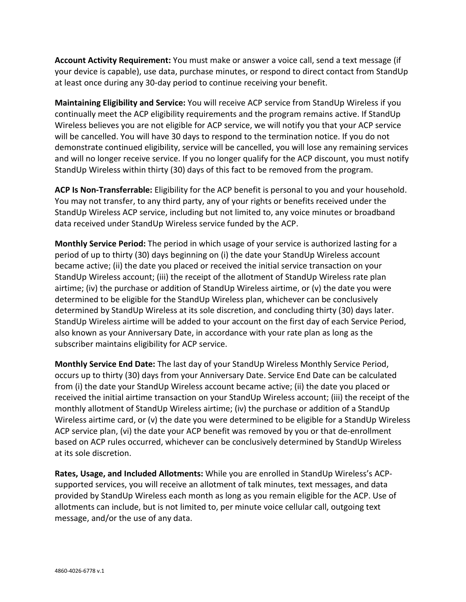**Account Activity Requirement:** You must make or answer a voice call, send a text message (if your device is capable), use data, purchase minutes, or respond to direct contact from StandUp at least once during any 30-day period to continue receiving your benefit.

**Maintaining Eligibility and Service:** You will receive ACP service from StandUp Wireless if you continually meet the ACP eligibility requirements and the program remains active. If StandUp Wireless believes you are not eligible for ACP service, we will notify you that your ACP service will be cancelled. You will have 30 days to respond to the termination notice. If you do not demonstrate continued eligibility, service will be cancelled, you will lose any remaining services and will no longer receive service. If you no longer qualify for the ACP discount, you must notify StandUp Wireless within thirty (30) days of this fact to be removed from the program.

**ACP Is Non-Transferrable:** Eligibility for the ACP benefit is personal to you and your household. You may not transfer, to any third party, any of your rights or benefits received under the StandUp Wireless ACP service, including but not limited to, any voice minutes or broadband data received under StandUp Wireless service funded by the ACP.

**Monthly Service Period:** The period in which usage of your service is authorized lasting for a period of up to thirty (30) days beginning on (i) the date your StandUp Wireless account became active; (ii) the date you placed or received the initial service transaction on your StandUp Wireless account; (iii) the receipt of the allotment of StandUp Wireless rate plan airtime; (iv) the purchase or addition of StandUp Wireless airtime, or (v) the date you were determined to be eligible for the StandUp Wireless plan, whichever can be conclusively determined by StandUp Wireless at its sole discretion, and concluding thirty (30) days later. StandUp Wireless airtime will be added to your account on the first day of each Service Period, also known as your Anniversary Date, in accordance with your rate plan as long as the subscriber maintains eligibility for ACP service.

**Monthly Service End Date:** The last day of your StandUp Wireless Monthly Service Period, occurs up to thirty (30) days from your Anniversary Date. Service End Date can be calculated from (i) the date your StandUp Wireless account became active; (ii) the date you placed or received the initial airtime transaction on your StandUp Wireless account; (iii) the receipt of the monthly allotment of StandUp Wireless airtime; (iv) the purchase or addition of a StandUp Wireless airtime card, or (v) the date you were determined to be eligible for a StandUp Wireless ACP service plan, (vi) the date your ACP benefit was removed by you or that de-enrollment based on ACP rules occurred, whichever can be conclusively determined by StandUp Wireless at its sole discretion.

**Rates, Usage, and Included Allotments:** While you are enrolled in StandUp Wireless's ACPsupported services, you will receive an allotment of talk minutes, text messages, and data provided by StandUp Wireless each month as long as you remain eligible for the ACP. Use of allotments can include, but is not limited to, per minute voice cellular call, outgoing text message, and/or the use of any data.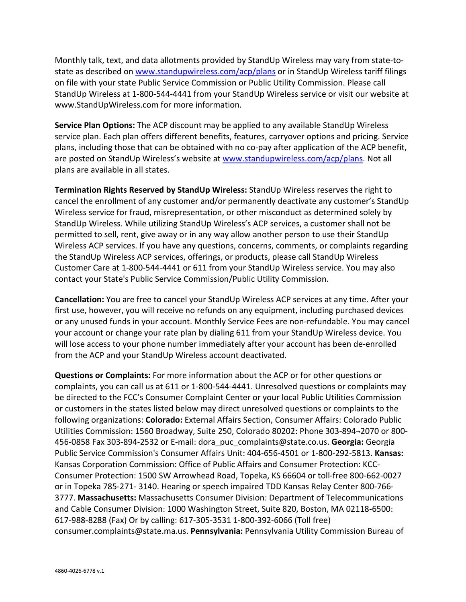Monthly talk, text, and data allotments provided by StandUp Wireless may vary from state-tostate as described on [www.standupwireless.com/acp/plans](http://www.standupwireless.com/acp/plans) or in StandUp Wireless tariff filings on file with your state Public Service Commission or Public Utility Commission. Please call StandUp Wireless at 1-800-544-4441 from your StandUp Wireless service or visit our website at www.StandUpWireless.com for more information.

**Service Plan Options:** The ACP discount may be applied to any available StandUp Wireless service plan. Each plan offers different benefits, features, carryover options and pricing. Service plans, including those that can be obtained with no co-pay after application of the ACP benefit, are posted on StandUp Wireless's website at [www.standupwireless.com/acp/plans.](http://www.standupwireless.com/acp/plans) Not all plans are available in all states.

**Termination Rights Reserved by StandUp Wireless:** StandUp Wireless reserves the right to cancel the enrollment of any customer and/or permanently deactivate any customer's StandUp Wireless service for fraud, misrepresentation, or other misconduct as determined solely by StandUp Wireless. While utilizing StandUp Wireless's ACP services, a customer shall not be permitted to sell, rent, give away or in any way allow another person to use their StandUp Wireless ACP services. If you have any questions, concerns, comments, or complaints regarding the StandUp Wireless ACP services, offerings, or products, please call StandUp Wireless Customer Care at 1-800-544-4441 or 611 from your StandUp Wireless service. You may also contact your State's Public Service Commission/Public Utility Commission.

**Cancellation:** You are free to cancel your StandUp Wireless ACP services at any time. After your first use, however, you will receive no refunds on any equipment, including purchased devices or any unused funds in your account. Monthly Service Fees are non-refundable. You may cancel your account or change your rate plan by dialing 611 from your StandUp Wireless device. You will lose access to your phone number immediately after your account has been de-enrolled from the ACP and your StandUp Wireless account deactivated.

**Questions or Complaints:** For more information about the ACP or for other questions or complaints, you can call us at 611 or 1-800-544-4441. Unresolved questions or complaints may be directed to the FCC's Consumer Complaint Center or your local Public Utilities Commission or customers in the states listed below may direct unresolved questions or complaints to the following organizations: **Colorado:** External Affairs Section, Consumer Affairs: Colorado Public Utilities Commission: 1560 Broadway, Suite 250, Colorado 80202: Phone 303-894¬2070 or 800- 456-0858 Fax 303-894-2532 or E-mail: dora\_puc\_complaints@state.co.us. **Georgia:** Georgia Public Service Commission's Consumer Affairs Unit: 404-656-4501 or 1-800-292-5813. **Kansas:** Kansas Corporation Commission: Office of Public Affairs and Consumer Protection: KCC-Consumer Protection: 1500 SW Arrowhead Road, Topeka, KS 66604 or toll-free 800-662-0027 or in Topeka 785-271- 3140. Hearing or speech impaired TDD Kansas Relay Center 800-766- 3777. **Massachusetts:** Massachusetts Consumer Division: Department of Telecommunications and Cable Consumer Division: 1000 Washington Street, Suite 820, Boston, MA 02118-6500: 617-988-8288 (Fax) Or by calling: 617-305-3531 1-800-392-6066 (Toll free) consumer.complaints@state.ma.us. **Pennsylvania:** Pennsylvania Utility Commission Bureau of